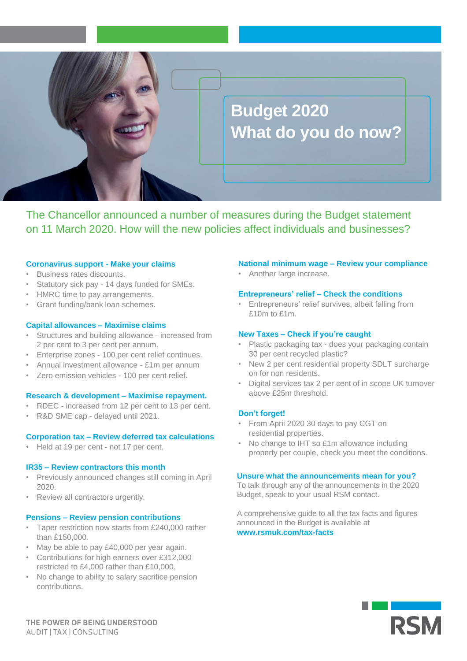

The Chancellor announced a number of measures during the Budget statement on 11 March 2020. How will the new policies affect individuals and businesses?

## **Coronavirus support - Make your claims**

- Business rates discounts.
- Statutory sick pay 14 days funded for SMEs.
- HMRC time to pay arrangements.
- Grant funding/bank loan schemes.

## **Capital allowances – Maximise claims**

- Structures and building allowance increased from 2 per cent to 3 per cent per annum.
- Enterprise zones 100 per cent relief continues.
- Annual investment allowance £1m per annum
- Zero emission vehicles 100 per cent relief.

## **Research & development – Maximise repayment.**

- RDEC increased from 12 per cent to 13 per cent.
- R&D SME cap delayed until 2021.

## **Corporation tax – Review deferred tax calculations**

• Held at 19 per cent - not 17 per cent.

## **IR35 – Review contractors this month**

- Previously announced changes still coming in April 2020.
- Review all contractors urgently.

## **Pensions – Review pension contributions**

- Taper restriction now starts from £240,000 rather than £150,000.
- May be able to pay £40,000 per year again.
- Contributions for high earners over £312,000 restricted to £4,000 rather than £10,000.
- No change to ability to salary sacrifice pension contributions.

#### **National minimum wage – Review your compliance**

• Another large increase.

## **Entrepreneurs' relief – Check the conditions**

• Entrepreneurs' relief survives, albeit falling from £10m to £1m.

## **New Taxes – Check if you're caught**

- Plastic packaging tax does your packaging contain 30 per cent recycled plastic?
- New 2 per cent residential property SDLT surcharge on for non residents.
- Digital services tax 2 per cent of in scope UK turnover above £25m threshold.

# **Don't forget!**

- From April 2020 30 days to pay CGT on residential properties.
- No change to IHT so £1m allowance including property per couple, check you meet the conditions.

## **Unsure what the announcements mean for you?**

To talk through any of the announcements in the 2020 Budget, speak to your usual RSM contact.

A comprehensive guide to all the tax facts and figures announced in the Budget is available at **www.rsmuk.com/tax-facts**



THE POWER OF BEING UNDERSTOOD AUDIT | TAX | CONSULTING